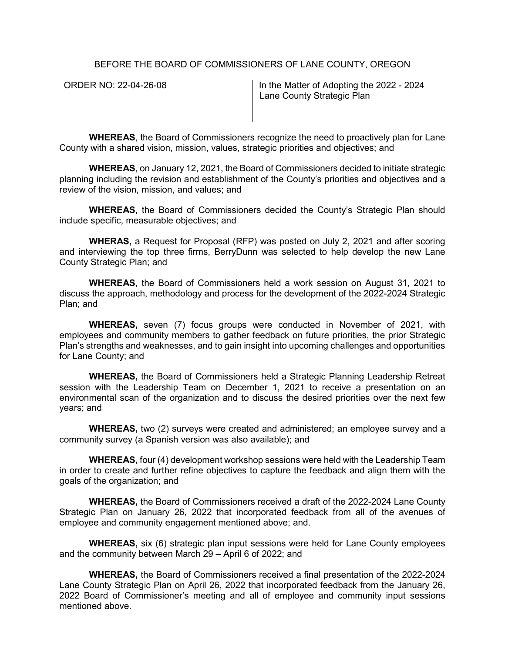BEFORE THE BOARD OF COMMISSIONERS OF LANE COUNTY, OREGON

ORDER NO: 22-04-26-08 In the Matter of Adopting the 2022 - 2024 Lane County Strategic Plan

**WHEREAS**, the Board of Commissioners recognize the need to proactively plan for Lane County with a shared vision, mission, values, strategic priorities and objectives; and

**WHEREAS**, on January 12, 2021, the Board of Commissioners decided to initiate strategic planning including the revision and establishment of the County's priorities and objectives and a review of the vision, mission, and values; and

**WHEREAS,** the Board of Commissioners decided the County's Strategic Plan should include specific, measurable objectives; and

**WHERAS,** a Request for Proposal (RFP) was posted on July 2, 2021 and after scoring and interviewing the top three firms, BerryDunn was selected to help develop the new Lane County Strategic Plan; and

**WHEREAS**, the Board of Commissioners held a work session on August 31, 2021 to discuss the approach, methodology and process for the development of the 2022-2024 Strategic Plan; and

**WHEREAS,** seven (7) focus groups were conducted in November of 2021, with employees and community members to gather feedback on future priorities, the prior Strategic Plan's strengths and weaknesses, and to gain insight into upcoming challenges and opportunities for Lane County; and

**WHEREAS,** the Board of Commissioners held a Strategic Planning Leadership Retreat session with the Leadership Team on December 1, 2021 to receive a presentation on an environmental scan of the organization and to discuss the desired priorities over the next few years; and

**WHEREAS,** two (2) surveys were created and administered; an employee survey and a community survey (a Spanish version was also available); and

**WHEREAS,** four (4) development workshop sessions were held with the Leadership Team in order to create and further refine objectives to capture the feedback and align them with the goals of the organization; and

**WHEREAS,** the Board of Commissioners received a draft of the 2022-2024 Lane County Strategic Plan on January 26, 2022 that incorporated feedback from all of the avenues of employee and community engagement mentioned above; and.

**WHEREAS,** six (6) strategic plan input sessions were held for Lane County employees and the community between March 29 – April 6 of 2022; and

**WHEREAS,** the Board of Commissioners received a final presentation of the 2022-2024 Lane County Strategic Plan on April 26, 2022 that incorporated feedback from the January 26, 2022 Board of Commissioner's meeting and all of employee and community input sessions mentioned above.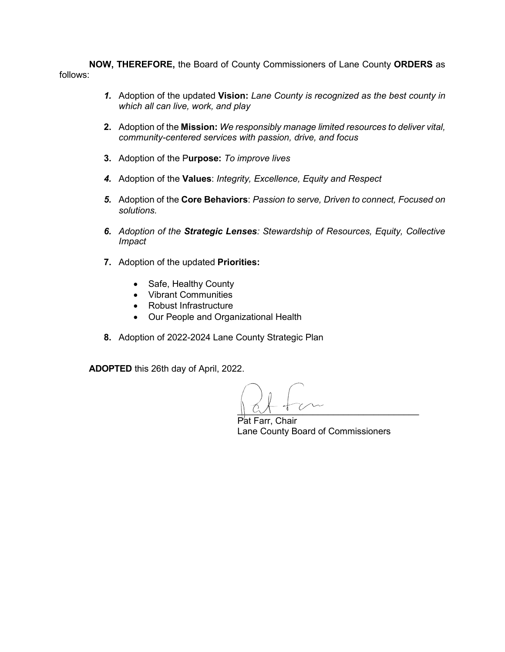**NOW, THEREFORE,** the Board of County Commissioners of Lane County **ORDERS** as follows:

- *1.* Adoption of the updated **Vision:** *Lane County is recognized as the best county in which all can live, work, and play*
- **2.** Adoption of the **Mission:** *We responsibly manage limited resources to deliver vital, community-centered services with passion, drive, and focus*
- **3.** Adoption of the P**urpose:** *To improve lives*
- *4.* Adoption of the **Values**: *Integrity, Excellence, Equity and Respect*
- *5.* Adoption of the **Core Behaviors**: *Passion to serve, Driven to connect, Focused on solutions.*
- *6. Adoption of the Strategic Lenses: Stewardship of Resources, Equity, Collective Impact*
- **7.** Adoption of the updated **Priorities:**
	- Safe, Healthy County
	- Vibrant Communities
	- Robust Infrastructure
	- Our People and Organizational Health
- **8.** Adoption of 2022-2024 Lane County Strategic Plan

**ADOPTED** this 26th day of April, 2022.

 $\parallel$  CM  $\parallel$  C

Pat Farr, Chair Lane County Board of Commissioners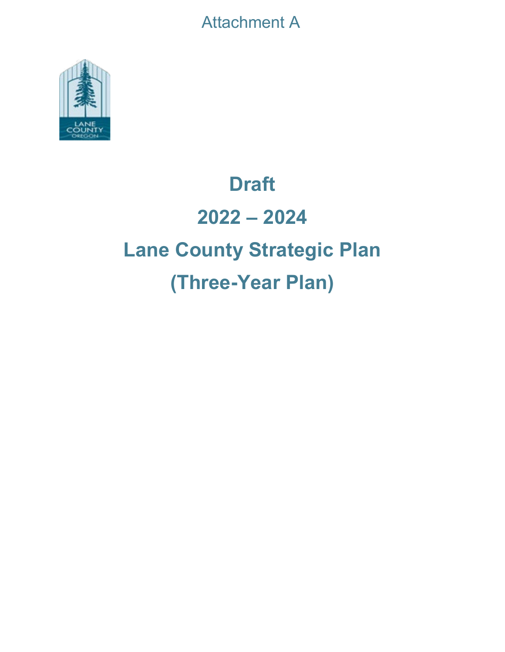Attachment A



# **Draft 2022 – 2024 Lane County Strategic Plan (Three-Year Plan)**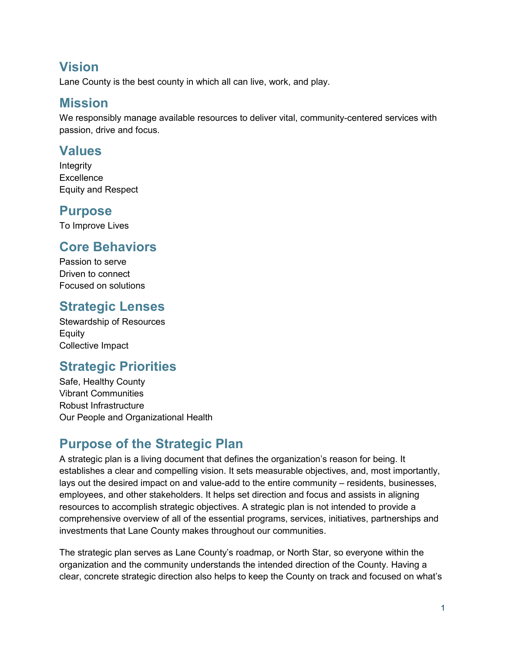#### **Vision**

Lane County is the best county in which all can live, work, and play.

#### **Mission**

We responsibly manage available resources to deliver vital, community-centered services with passion, drive and focus.

#### **Values**

Integrity **Excellence** Equity and Respect

#### **Purpose**

To Improve Lives

#### **Core Behaviors**

Passion to serve Driven to connect Focused on solutions

# **Strategic Lenses**

Stewardship of Resources Equity Collective Impact

# **Strategic Priorities**

Safe, Healthy County Vibrant Communities Robust Infrastructure Our People and Organizational Health

# **Purpose of the Strategic Plan**

A strategic plan is a living document that defines the organization's reason for being. It establishes a clear and compelling vision. It sets measurable objectives, and, most importantly, lays out the desired impact on and value-add to the entire community – residents, businesses, employees, and other stakeholders. It helps set direction and focus and assists in aligning resources to accomplish strategic objectives. A strategic plan is not intended to provide a comprehensive overview of all of the essential programs, services, initiatives, partnerships and investments that Lane County makes throughout our communities.

The strategic plan serves as Lane County's roadmap, or North Star, so everyone within the organization and the community understands the intended direction of the County. Having a clear, concrete strategic direction also helps to keep the County on track and focused on what's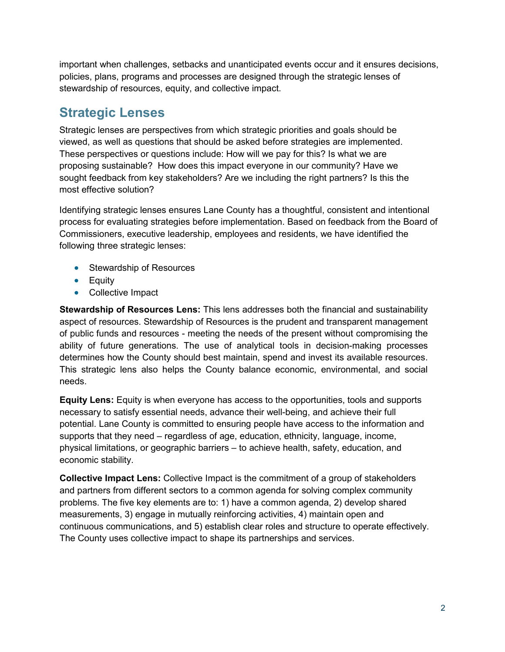important when challenges, setbacks and unanticipated events occur and it ensures decisions, policies, plans, programs and processes are designed through the strategic lenses of stewardship of resources, equity, and collective impact.

# **Strategic Lenses**

Strategic lenses are perspectives from which strategic priorities and goals should be viewed, as well as questions that should be asked before strategies are implemented. These perspectives or questions include: How will we pay for this? Is what we are proposing sustainable? How does this impact everyone in our community? Have we sought feedback from key stakeholders? Are we including the right partners? Is this the most effective solution?

Identifying strategic lenses ensures Lane County has a thoughtful, consistent and intentional process for evaluating strategies before implementation. Based on feedback from the Board of Commissioners, executive leadership, employees and residents, we have identified the following three strategic lenses:

- Stewardship of Resources
- Equity
- Collective Impact

**Stewardship of Resources Lens:** This lens addresses both the financial and sustainability aspect of resources. Stewardship of Resources is the prudent and transparent management of public funds and resources - meeting the needs of the present without compromising the ability of future generations. The use of analytical tools in decision-making processes determines how the County should best maintain, spend and invest its available resources. This strategic lens also helps the County balance economic, environmental, and social needs.

**Equity Lens:** Equity is when everyone has access to the opportunities, tools and supports necessary to satisfy essential needs, advance their well-being, and achieve their full potential. Lane County is committed to ensuring people have access to the information and supports that they need – regardless of age, education, ethnicity, language, income, physical limitations, or geographic barriers – to achieve health, safety, education, and economic stability.

**Collective Impact Lens:** Collective Impact is the commitment of a group of stakeholders and partners from different sectors to a common agenda for solving complex community problems. The five key elements are to: 1) have a common agenda, 2) develop shared measurements, 3) engage in mutually reinforcing activities, 4) maintain open and continuous communications, and 5) establish clear roles and structure to operate effectively. The County uses collective impact to shape its partnerships and services.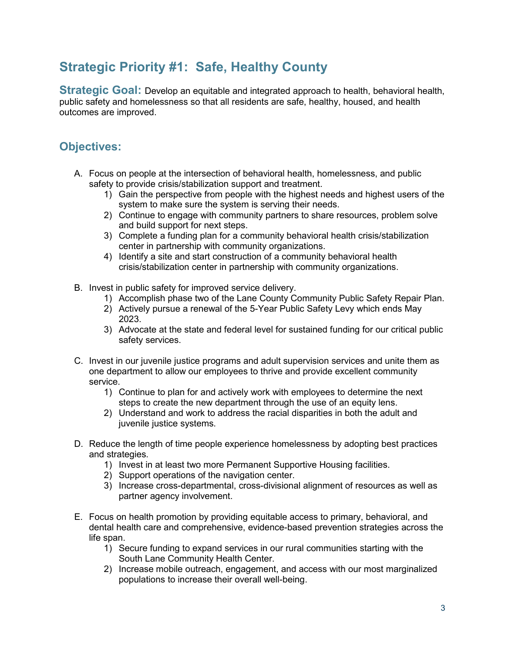#### **Strategic Priority #1: Safe, Healthy County**

**Strategic Goal:** Develop an equitable and integrated approach to health, behavioral health, public safety and homelessness so that all residents are safe, healthy, housed, and health outcomes are improved.

- A. Focus on people at the intersection of behavioral health, homelessness, and public safety to provide crisis/stabilization support and treatment.
	- 1) Gain the perspective from people with the highest needs and highest users of the system to make sure the system is serving their needs.
	- 2) Continue to engage with community partners to share resources, problem solve and build support for next steps.
	- 3) Complete a funding plan for a community behavioral health crisis/stabilization center in partnership with community organizations.
	- 4) Identify a site and start construction of a community behavioral health crisis/stabilization center in partnership with community organizations.
- B. Invest in public safety for improved service delivery.
	- 1) Accomplish phase two of the Lane County Community Public Safety Repair Plan.
	- 2) Actively pursue a renewal of the 5-Year Public Safety Levy which ends May 2023.
	- 3) Advocate at the state and federal level for sustained funding for our critical public safety services.
- C. Invest in our juvenile justice programs and adult supervision services and unite them as one department to allow our employees to thrive and provide excellent community service.
	- 1) Continue to plan for and actively work with employees to determine the next steps to create the new department through the use of an equity lens.
	- 2) Understand and work to address the racial disparities in both the adult and juvenile justice systems.
- D. Reduce the length of time people experience homelessness by adopting best practices and strategies.
	- 1) Invest in at least two more Permanent Supportive Housing facilities.
	- 2) Support operations of the navigation center.
	- 3) Increase cross-departmental, cross-divisional alignment of resources as well as partner agency involvement.
- E. Focus on health promotion by providing equitable access to primary, behavioral, and dental health care and comprehensive, evidence-based prevention strategies across the life span.
	- 1) Secure funding to expand services in our rural communities starting with the South Lane Community Health Center.
	- 2) Increase mobile outreach, engagement, and access with our most marginalized populations to increase their overall well-being.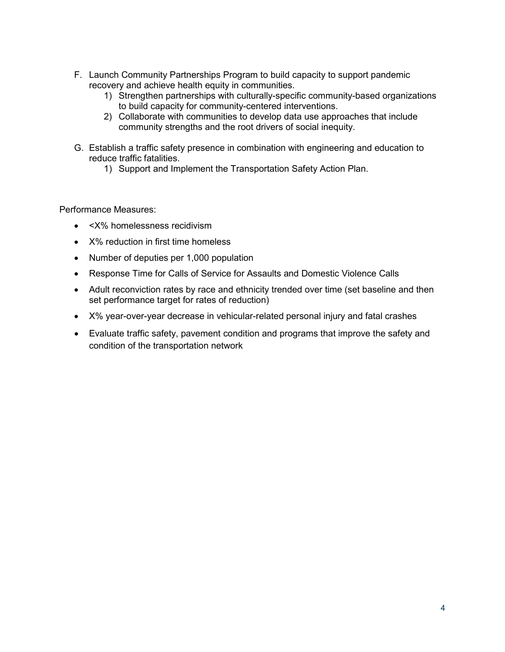- F. Launch Community Partnerships Program to build capacity to support pandemic recovery and achieve health equity in communities.
	- 1) Strengthen partnerships with culturally-specific community-based organizations to build capacity for community-centered interventions.
	- 2) Collaborate with communities to develop data use approaches that include community strengths and the root drivers of social inequity.
- G. Establish a traffic safety presence in combination with engineering and education to reduce traffic fatalities.
	- 1) Support and Implement the Transportation Safety Action Plan.

Performance Measures:

- <X% homelessness recidivism
- X% reduction in first time homeless
- Number of deputies per 1,000 population
- Response Time for Calls of Service for Assaults and Domestic Violence Calls
- Adult reconviction rates by race and ethnicity trended over time (set baseline and then set performance target for rates of reduction)
- X% year-over-year decrease in vehicular-related personal injury and fatal crashes
- Evaluate traffic safety, pavement condition and programs that improve the safety and condition of the transportation network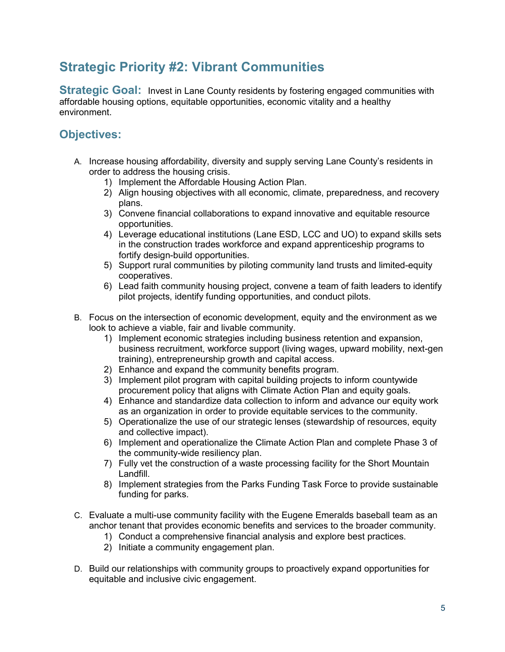#### **Strategic Priority #2: Vibrant Communities**

**Strategic Goal:** Invest in Lane County residents by fostering engaged communities with affordable housing options, equitable opportunities, economic vitality and a healthy environment.

- A. Increase housing affordability, diversity and supply serving Lane County's residents in order to address the housing crisis.
	- 1) Implement the Affordable Housing Action Plan.
	- 2) Align housing objectives with all economic, climate, preparedness, and recovery plans.
	- 3) Convene financial collaborations to expand innovative and equitable resource opportunities.
	- 4) Leverage educational institutions (Lane ESD, LCC and UO) to expand skills sets in the construction trades workforce and expand apprenticeship programs to fortify design-build opportunities.
	- 5) Support rural communities by piloting community land trusts and limited-equity cooperatives.
	- 6) Lead faith community housing project, convene a team of faith leaders to identify pilot projects, identify funding opportunities, and conduct pilots.
- B. Focus on the intersection of economic development, equity and the environment as we look to achieve a viable, fair and livable community.
	- 1) Implement economic strategies including business retention and expansion, business recruitment, workforce support (living wages, upward mobility, next-gen training), entrepreneurship growth and capital access.
	- 2) Enhance and expand the community benefits program.
	- 3) Implement pilot program with capital building projects to inform countywide procurement policy that aligns with Climate Action Plan and equity goals.
	- 4) Enhance and standardize data collection to inform and advance our equity work as an organization in order to provide equitable services to the community.
	- 5) Operationalize the use of our strategic lenses (stewardship of resources, equity and collective impact).
	- 6) Implement and operationalize the Climate Action Plan and complete Phase 3 of the community-wide resiliency plan.
	- 7) Fully vet the construction of a waste processing facility for the Short Mountain Landfill.
	- 8) Implement strategies from the Parks Funding Task Force to provide sustainable funding for parks.
- C. Evaluate a multi-use community facility with the Eugene Emeralds baseball team as an anchor tenant that provides economic benefits and services to the broader community.
	- 1) Conduct a comprehensive financial analysis and explore best practices.
	- 2) Initiate a community engagement plan.
- D. Build our relationships with community groups to proactively expand opportunities for equitable and inclusive civic engagement.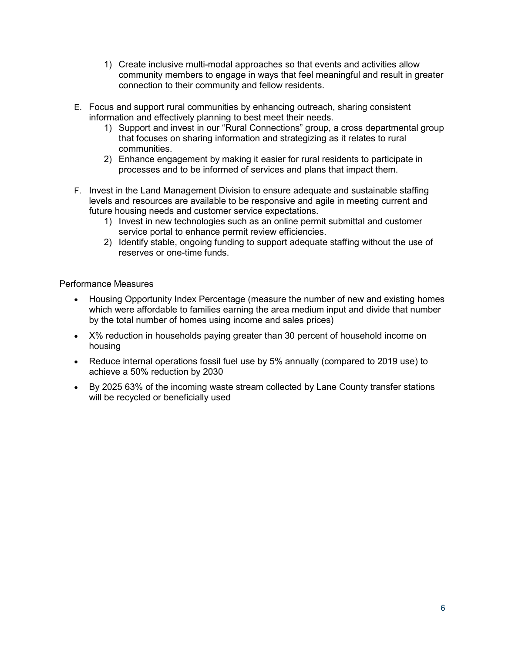- 1) Create inclusive multi-modal approaches so that events and activities allow community members to engage in ways that feel meaningful and result in greater connection to their community and fellow residents.
- E. Focus and support rural communities by enhancing outreach, sharing consistent information and effectively planning to best meet their needs.
	- 1) Support and invest in our "Rural Connections" group, a cross departmental group that focuses on sharing information and strategizing as it relates to rural communities.
	- 2) Enhance engagement by making it easier for rural residents to participate in processes and to be informed of services and plans that impact them.
- F. Invest in the Land Management Division to ensure adequate and sustainable staffing levels and resources are available to be responsive and agile in meeting current and future housing needs and customer service expectations.
	- 1) Invest in new technologies such as an online permit submittal and customer service portal to enhance permit review efficiencies.
	- 2) Identify stable, ongoing funding to support adequate staffing without the use of reserves or one-time funds.

#### Performance Measures

- Housing Opportunity Index Percentage (measure the number of new and existing homes which were affordable to families earning the area medium input and divide that number by the total number of homes using income and sales prices)
- X% reduction in households paying greater than 30 percent of household income on housing
- Reduce internal operations fossil fuel use by 5% annually (compared to 2019 use) to achieve a 50% reduction by 2030
- By 2025 63% of the incoming waste stream collected by Lane County transfer stations will be recycled or beneficially used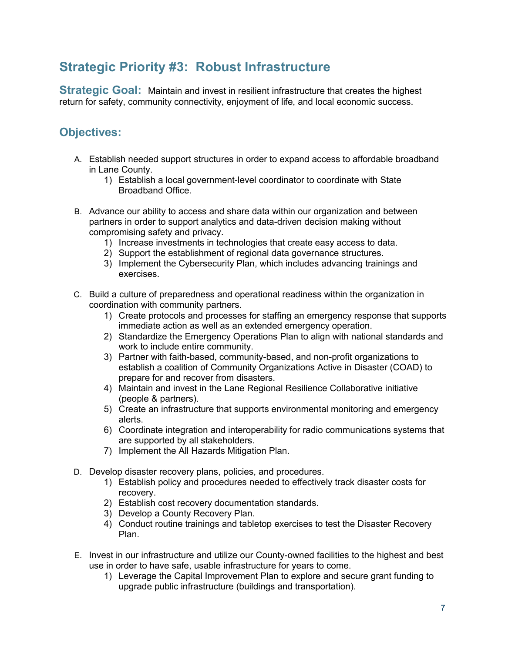# **Strategic Priority #3: Robust Infrastructure**

**Strategic Goal:** Maintain and invest in resilient infrastructure that creates the highest return for safety, community connectivity, enjoyment of life, and local economic success.

- A. Establish needed support structures in order to expand access to affordable broadband in Lane County.
	- 1) Establish a local government-level coordinator to coordinate with State Broadband Office.
- B. Advance our ability to access and share data within our organization and between partners in order to support analytics and data-driven decision making without compromising safety and privacy.
	- 1) Increase investments in technologies that create easy access to data.
	- 2) Support the establishment of regional data governance structures.
	- 3) Implement the Cybersecurity Plan, which includes advancing trainings and exercises.
- C. Build a culture of preparedness and operational readiness within the organization in coordination with community partners.
	- 1) Create protocols and processes for staffing an emergency response that supports immediate action as well as an extended emergency operation.
	- 2) Standardize the Emergency Operations Plan to align with national standards and work to include entire community.
	- 3) Partner with faith-based, community-based, and non-profit organizations to establish a coalition of Community Organizations Active in Disaster (COAD) to prepare for and recover from disasters.
	- 4) Maintain and invest in the Lane Regional Resilience Collaborative initiative (people & partners).
	- 5) Create an infrastructure that supports environmental monitoring and emergency alerts.
	- 6) Coordinate integration and interoperability for radio communications systems that are supported by all stakeholders.
	- 7) Implement the All Hazards Mitigation Plan.
- D. Develop disaster recovery plans, policies, and procedures.
	- 1) Establish policy and procedures needed to effectively track disaster costs for recovery.
	- 2) Establish cost recovery documentation standards.
	- 3) Develop a County Recovery Plan.
	- 4) Conduct routine trainings and tabletop exercises to test the Disaster Recovery Plan.
- E. Invest in our infrastructure and utilize our County-owned facilities to the highest and best use in order to have safe, usable infrastructure for years to come.
	- 1) Leverage the Capital Improvement Plan to explore and secure grant funding to upgrade public infrastructure (buildings and transportation).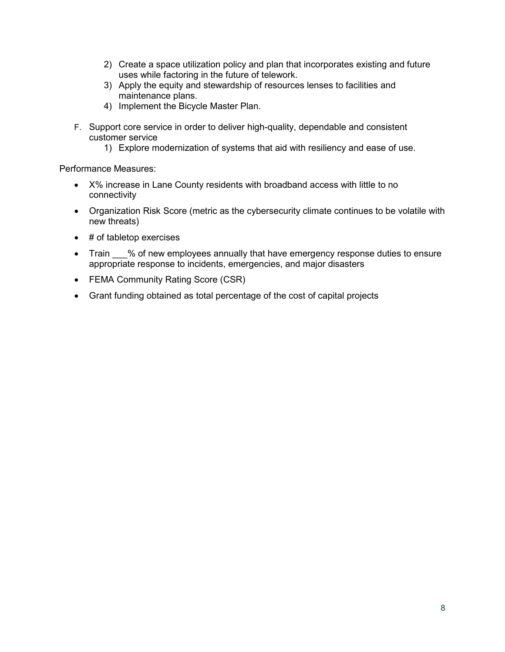- 2) Create a space utilization policy and plan that incorporates existing and future uses while factoring in the future of telework.
- 3) Apply the equity and stewardship of resources lenses to facilities and maintenance plans.
- 4) Implement the Bicycle Master Plan.
- F. Support core service in order to deliver high-quality, dependable and consistent customer service
	- 1) Explore modernization of systems that aid with resiliency and ease of use.

Performance Measures:

- X% increase in Lane County residents with broadband access with little to no connectivity
- Organization Risk Score (metric as the cybersecurity climate continues to be volatile with new threats)
- $\bullet$  # of tabletop exercises
- Train  $\_\%$  of new employees annually that have emergency response duties to ensure appropriate response to incidents, emergencies, and major disasters
- FEMA Community Rating Score (CSR)
- Grant funding obtained as total percentage of the cost of capital projects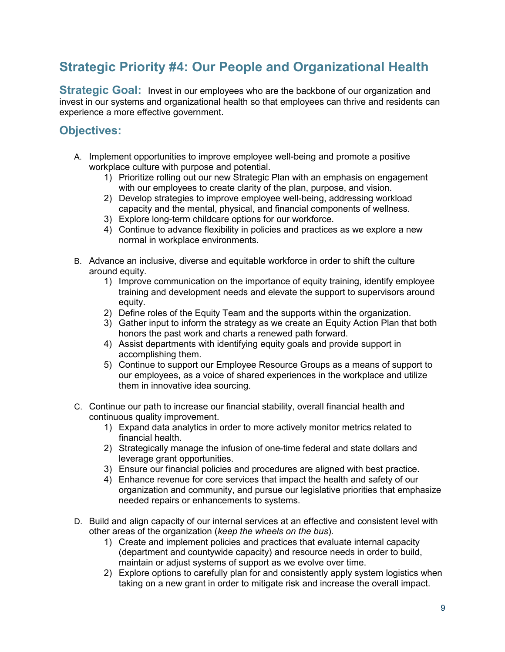# **Strategic Priority #4: Our People and Organizational Health**

**Strategic Goal:** Invest in our employees who are the backbone of our organization and invest in our systems and organizational health so that employees can thrive and residents can experience a more effective government.

- A. Implement opportunities to improve employee well-being and promote a positive workplace culture with purpose and potential.
	- 1) Prioritize rolling out our new Strategic Plan with an emphasis on engagement with our employees to create clarity of the plan, purpose, and vision.
	- 2) Develop strategies to improve employee well-being, addressing workload capacity and the mental, physical, and financial components of wellness.
	- 3) Explore long-term childcare options for our workforce.
	- 4) Continue to advance flexibility in policies and practices as we explore a new normal in workplace environments.
- B. Advance an inclusive, diverse and equitable workforce in order to shift the culture around equity.
	- 1) Improve communication on the importance of equity training, identify employee training and development needs and elevate the support to supervisors around equity.
	- 2) Define roles of the Equity Team and the supports within the organization.
	- 3) Gather input to inform the strategy as we create an Equity Action Plan that both honors the past work and charts a renewed path forward.
	- 4) Assist departments with identifying equity goals and provide support in accomplishing them.
	- 5) Continue to support our Employee Resource Groups as a means of support to our employees, as a voice of shared experiences in the workplace and utilize them in innovative idea sourcing.
- C. Continue our path to increase our financial stability, overall financial health and continuous quality improvement.
	- 1) Expand data analytics in order to more actively monitor metrics related to financial health.
	- 2) Strategically manage the infusion of one-time federal and state dollars and leverage grant opportunities.
	- 3) Ensure our financial policies and procedures are aligned with best practice.
	- 4) Enhance revenue for core services that impact the health and safety of our organization and community, and pursue our legislative priorities that emphasize needed repairs or enhancements to systems.
- D. Build and align capacity of our internal services at an effective and consistent level with other areas of the organization (*keep the wheels on the bus*).
	- 1) Create and implement policies and practices that evaluate internal capacity (department and countywide capacity) and resource needs in order to build, maintain or adjust systems of support as we evolve over time.
	- 2) Explore options to carefully plan for and consistently apply system logistics when taking on a new grant in order to mitigate risk and increase the overall impact.